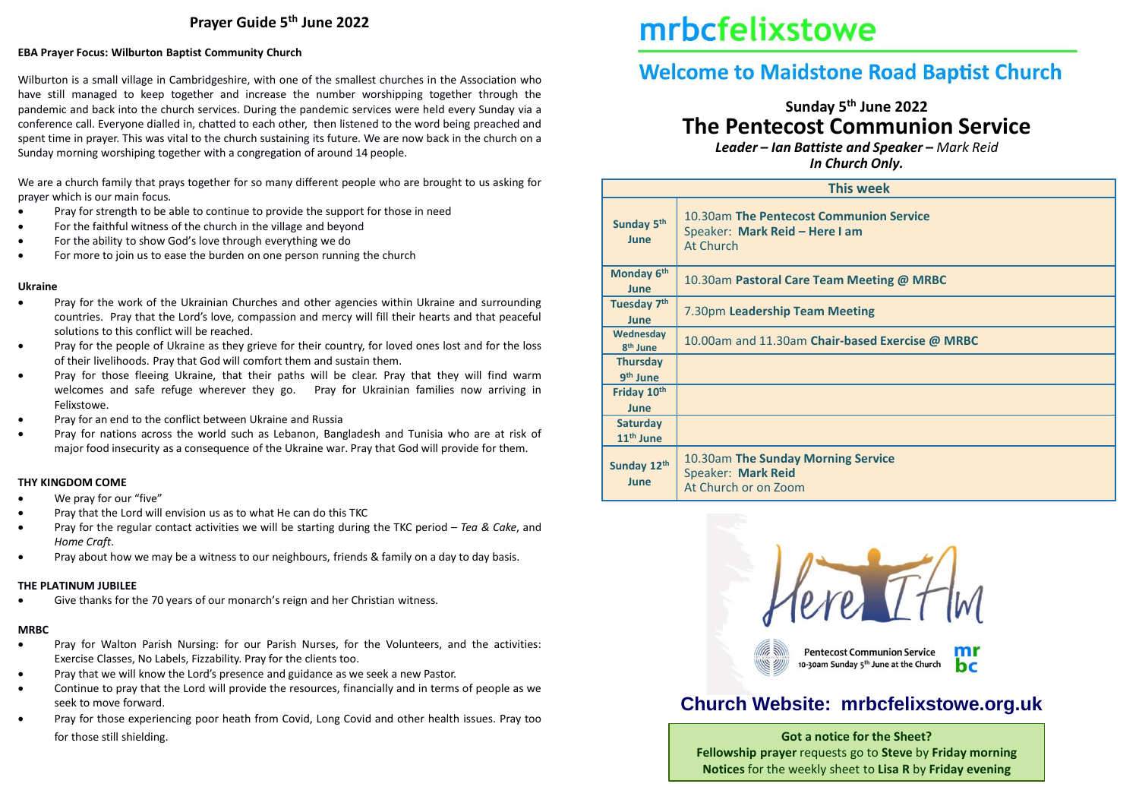## **Prayer Guide 5th June 2022**

#### **EBA Prayer Focus: Wilburton Baptist Community Church**

Wilburton is a small village in Cambridgeshire, with one of the smallest churches in the Association who have still managed to keep together and increase the number worshipping together through the pandemic and back into the church services. During the pandemic services were held every Sunday via a conference call. Everyone dialled in, chatted to each other, then listened to the word being preached and spent time in prayer. This was vital to the church sustaining its future. We are now back in the church on a Sunday morning worshiping together with a congregation of around 14 people.

We are a church family that prays together for so many different people who are brought to us asking for prayer which is our main focus.

- Pray for strength to be able to continue to provide the support for those in need
- For the faithful witness of the church in the village and beyond
- For the ability to show God's love through everything we do
- For more to join us to ease the burden on one person running the church

#### **Ukraine**

- Pray for the work of the Ukrainian Churches and other agencies within Ukraine and surrounding countries. Pray that the Lord's love, compassion and mercy will fill their hearts and that peaceful solutions to this conflict will be reached.
- Pray for the people of Ukraine as they grieve for their country, for loved ones lost and for the loss of their livelihoods. Pray that God will comfort them and sustain them.
- Pray for those fleeing Ukraine, that their paths will be clear. Pray that they will find warm welcomes and safe refuge wherever they go. Pray for Ukrainian families now arriving in Felixstowe.
- Pray for an end to the conflict between Ukraine and Russia
- Pray for nations across the world such as Lebanon, Bangladesh and Tunisia who are at risk of major food insecurity as a consequence of the Ukraine war. Pray that God will provide for them.

#### **THY KINGDOM COME**

- We pray for our "five"
- Pray that the Lord will envision us as to what He can do this TKC
- Pray for the regular contact activities we will be starting during the TKC period *Tea & Cake*, and *Home Craft*.
- Pray about how we may be a witness to our neighbours, friends & family on a day to day basis.

#### **THE PLATINUM JUBILEE**

Give thanks for the 70 years of our monarch's reign and her Christian witness.

#### **MRBC**

- Pray for Walton Parish Nursing: for our Parish Nurses, for the Volunteers, and the activities: Exercise Classes, No Labels, Fizzability. Pray for the clients too.
- Pray that we will know the Lord's presence and guidance as we seek a new Pastor.
- Continue to pray that the Lord will provide the resources, financially and in terms of people as we seek to move forward.
- Pray for those experiencing poor heath from Covid, Long Covid and other health issues. Pray too for those still shielding. **Got a notice for the Sheet?**

# mrbcfelixstowe

# **Welcome to Maidstone Road Baptist Church**

# **Sunday 5 th June 2022 The Pentecost Communion Service**

*Leader – Ian Battiste and Speaker – Mark Reid In Church Only.*

| <b>This week</b>                         |                                                                                        |  |  |  |
|------------------------------------------|----------------------------------------------------------------------------------------|--|--|--|
| Sunday 5th<br>June                       | 10.30am The Pentecost Communion Service<br>Speaker: Mark Reid - Here I am<br>At Church |  |  |  |
| Monday 6th<br>June                       | 10.30am Pastoral Care Team Meeting @ MRBC                                              |  |  |  |
| Tuesday 7th<br>June                      | 7.30pm Leadership Team Meeting                                                         |  |  |  |
| Wednesday<br>8 <sup>th</sup> June        | 10.00am and 11.30am Chair-based Exercise @ MRBC                                        |  |  |  |
| <b>Thursday</b><br>9 <sup>th</sup> June  |                                                                                        |  |  |  |
| Friday 10th<br><b>June</b>               |                                                                                        |  |  |  |
| <b>Saturday</b><br>11 <sup>th</sup> June |                                                                                        |  |  |  |
| Sunday 12th<br>June                      | 10.30am The Sunday Morning Service<br>Speaker: Mark Reid<br>At Church or on Zoom       |  |  |  |



# **Church Website: mrbcfelixstowe.org.uk**

**Fellowship prayer** requests go to **Steve** by **Friday morning Notices** for the weekly sheet to **Lisa R** by **Friday evening**